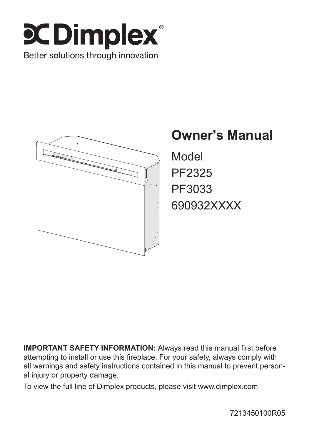



# **Owner's Manual**

Model PF2325 PF3033 690932XXXX

**IMPORTANT SAFETY INFORMATION:** Always read this manual first before attempting to install or use this fireplace. For your safety, always comply with all warnings and safety instructions contained in this manual to prevent personal injury or property damage.

To view the full line of Dimplex products, please visit www.dimplex.com

7213450100R05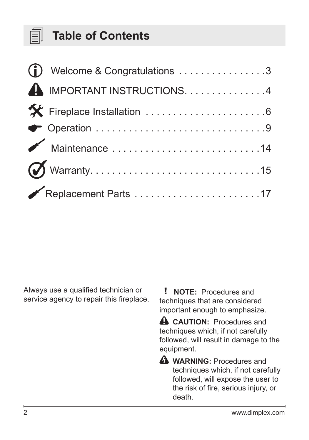

## **Table of Contents**

| (i) Welcome & Congratulations 3 |
|---------------------------------|
| A IMPORTANT INSTRUCTIONS4       |
| K Fireplace Installation 6      |
|                                 |
|                                 |
|                                 |
|                                 |

Always use a qualified technician or service agency to repair this fireplace.

! **NOTE:** Procedures and techniques that are considered important enough to emphasize.

**A** CAUTION: Procedures and techniques which, if not carefully followed, will result in damage to the equipment.

**A** WARNING: Procedures and techniques which, if not carefully followed, will expose the user to the risk of fire, serious injury, or death.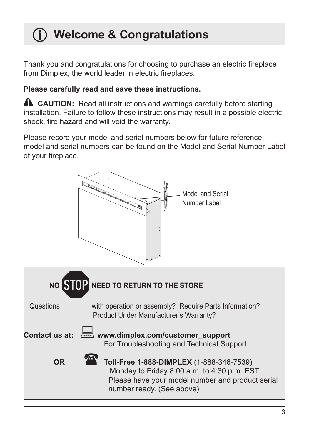# <span id="page-2-0"></span> **Welcome & Congratulations**

Thank you and congratulations for choosing to purchase an electric fireplace from Dimplex, the world leader in electric fireplaces.

### **Please carefully read and save these instructions.**

**A** CAUTION: Read all instructions and warnings carefully before starting installation. Failure to follow these instructions may result in a possible electric shock, fire hazard and will void the warranty.

Please record your model and serial numbers below for future reference: model and serial numbers can be found on the Model and Serial Number Label of your fireplace.

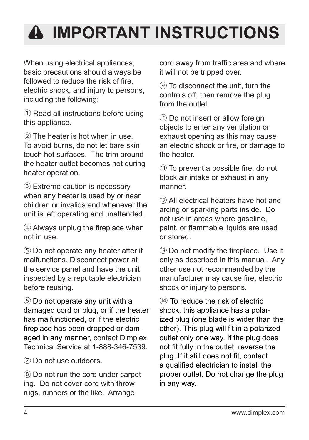# <span id="page-3-0"></span>**IMPORTANT INSTRUCTIONS**

When using electrical appliances. basic precautions should always be followed to reduce the risk of fire. electric shock, and injury to persons, including the following:

① Read all instructions before using this appliance.

② The heater is hot when in use. To avoid burns, do not let bare skin touch hot surfaces. The trim around the heater outlet becomes hot during heater operation.

③ Extreme caution is necessary when any heater is used by or near children or invalids and whenever the unit is left operating and unattended.

④ Always unplug the fireplace when not in use.

⑤ Do not operate any heater after it malfunctions. Disconnect power at the service panel and have the unit inspected by a reputable electrician before reusing.

⑥ Do not operate any unit with a damaged cord or plug, or if the heater has malfunctioned, or if the electric fireplace has been dropped or damaged in any manner, contact Dimplex Technical Service at 1-888-346-7539.

⑦ Do not use outdoors.

⑧ Do not run the cord under carpeting. Do not cover cord with throw rugs, runners or the like. Arrange

cord away from traffic area and where it will not be tripped over.

⑨ To disconnect the unit, turn the controls off, then remove the plug from the outlet.

⑩ Do not insert or allow foreign objects to enter any ventilation or exhaust opening as this may cause an electric shock or fire, or damage to the heater.

⑪ To prevent a possible fire, do not block air intake or exhaust in any manner.

⑫ All electrical heaters have hot and arcing or sparking parts inside. Do not use in areas where gasoline, paint, or flammable liquids are used or stored.

⑬ Do not modify the fireplace. Use it only as described in this manual. Any other use not recommended by the manufacturer may cause fire, electric shock or injury to persons.

⑭ To reduce the risk of electric shock, this appliance has a polarized plug (one blade is wider than the other). This plug will fit in a polarized outlet only one way. If the plug does not fit fully in the outlet, reverse the plug. If it still does not fit, contact a qualified electrician to install the proper outlet. Do not change the plug in any way.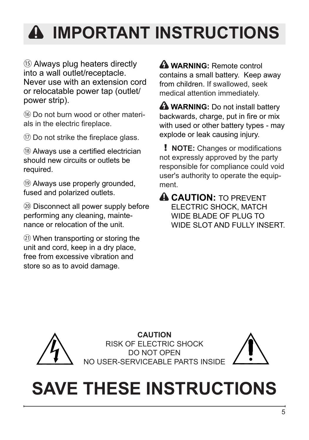# **IMPORTANT INSTRUCTIONS**

⑮ Always plug heaters directly into a wall outlet/receptacle. Never use with an extension cord or relocatable power tap (outlet/ power strip).

⑯ Do not burn wood or other materials in the electric fireplace.

⑰ Do not strike the fireplace glass.

⑱ Always use a certified electrician should new circuits or outlets be required.

⑲ Always use properly grounded, fused and polarized outlets.

⑳ Disconnect all power supply before performing any cleaning, maintenance or relocation of the unit.

㉑ When transporting or storing the unit and cord, keep in a dry place, free from excessive vibration and store so as to avoid damage.

 **WARNING:** Remote control contains a small battery. Keep away from children. If swallowed, seek medical attention immediately.

**A** WARNING: Do not install battery backwards, charge, put in fire or mix with used or other battery types - may explode or leak causing injury.

! **NOTE:** Changes or modifications not expressly approved by the party responsible for compliance could void user's authority to operate the equipment.

**A CAUTION: TO PREVENT** ELECTRIC SHOCK, MATCH WIDE BLADE OF PLUG TO WIDE SLOT AND FULLY INSERT.



**CAUTION** RISK OF ELECTRIC SHOCK DO NOT OPEN NO USER-SERVICEABLE PARTS INSIDE



# **SAVE THESE INSTRUCTIONS**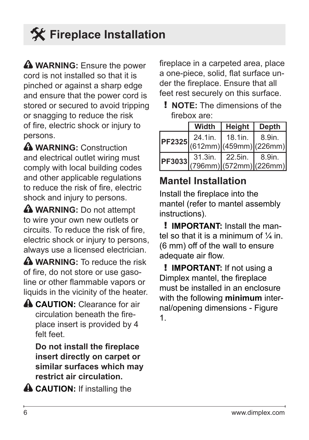# <span id="page-5-0"></span> **Fireplace Installation**

**WARNING:** Ensure the power cord is not installed so that it is pinched or against a sharp edge and ensure that the power cord is stored or secured to avoid tripping or snagging to reduce the risk of fire, electric shock or injury to persons.

**WARNING:** Construction and electrical outlet wiring must comply with local building codes and other applicable regulations to reduce the risk of fire, electric shock and injury to persons.

**A** WARNING: Do not attempt to wire your own new outlets or circuits. To reduce the risk of fire, electric shock or injury to persons, always use a licensed electrician.

**A** WARNING: To reduce the risk of fire, do not store or use gasoline or other flammable vapors or liquids in the vicinity of the heater.

**A CAUTION:** Clearance for air circulation beneath the fireplace insert is provided by 4 felt feet.

**Do not install the fireplace insert directly on carpet or similar surfaces which may restrict air circulation.** 

**A CAUTION:** If installing the

fireplace in a carpeted area, place a one-piece, solid, flat surface under the fireplace. Ensure that all feet rest securely on this surface.

! **NOTE:** The dimensions of the firebox are:

| Width                                                                                                       | Height   Depth                                        |        |
|-------------------------------------------------------------------------------------------------------------|-------------------------------------------------------|--------|
| 24.1in.<br>$\left  \text{PF2325} \right _{(612mm)}^{24.101} \left  \frac{15.1111}{(459mm)} \right  (226mm)$ | 18.1in.                                               | 8.9in. |
|                                                                                                             | PF3033 31.3III. 44.0<br>PF3033 796mm) (572mm) (226mm) |        |

## **Mantel Installation**

Install the fireplace into the mantel (refer to mantel assembly instructions).

! **IMPORTANT:** Install the mantel so that it is a minimum of  $\frac{1}{4}$  in. (6 mm) off of the wall to ensure adequate air flow.

! **IMPORTANT:** If not using a Dimplex mantel, the fireplace must be installed in an enclosure with the following **minimum** internal/opening dimensions - Figure 1.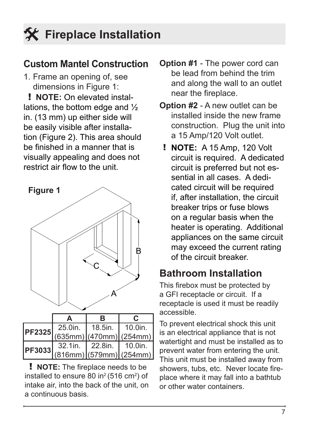### **Custom Mantel Construction**

1. Frame an opening of, see dimensions in Figure 1:

! **NOTE:** On elevated installations, the bottom edge and ½ in. (13 mm) up either side will be easily visible after installation (Figure 2). This area should be finished in a manner that is visually appealing and does not restrict air flow to the unit.



|               |         | в               |                                |
|---------------|---------|-----------------|--------------------------------|
| <b>PF2325</b> | 25.0in. | 18.5in.         | $\vert$ 10.0in.                |
|               |         |                 | $(635mm)$ (470mm) (254mm)      |
|               | 32.1in. | $\vert$ 22.8in. | $\vert$ 10.0in.                |
|               |         |                 | PF3033 (816mm) (579mm) (254mm) |

! **NOTE:** The fireplace needs to be installed to ensure 80 in<sup>2</sup> (516 cm<sup>2</sup>) of intake air, into the back of the unit, on a continuous basis.

- **Option #1** The power cord can be lead from behind the trim and along the wall to an outlet near the fireplace.
- **Option #2** A new outlet can be installed inside the new frame construction. Plug the unit into a 15 Amp/120 Volt outlet.
	- ! **NOTE:** A 15 Amp, 120 Volt circuit is required. A dedicated circuit is preferred but not essential in all cases. A dedicated circuit will be required if, after installation, the circuit breaker trips or fuse blows on a regular basis when the heater is operating. Additional appliances on the same circuit may exceed the current rating of the circuit breaker.

## **Bathroom Installation**

This firebox must be protected by a GFI receptacle or circuit. If a receptacle is used it must be readily accessible.

To prevent electrical shock this unit is an electrical appliance that is not watertight and must be installed as to prevent water from entering the unit. This unit must be installed away from showers, tubs, etc. Never locate fireplace where it may fall into a bathtub or other water containers.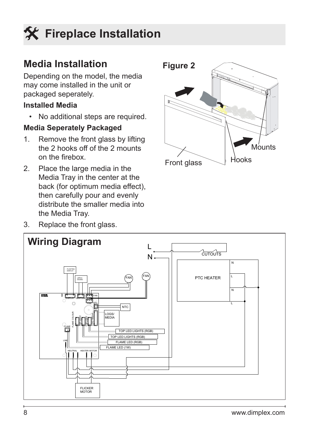# **Fireplace Installation**

### **Media Installation**

Depending on the model, the media may come installed in the unit or packaged seperately.

#### **Installed Media**

• No additional steps are required.

### **Media Seperately Packaged**

- 1. Remove the front glass by lifting the 2 hooks off of the 2 mounts on the firebox.
- 2. Place the large media in the Media Tray in the center at the back (for optimum media effect), then carefully pour and evenly distribute the smaller media into the Media Tray.
- 3. Replace the front glass.



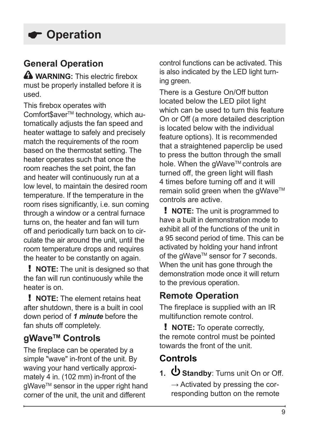### <span id="page-8-0"></span>**General Operation**

**A** WARNING: This electric firebox must be properly installed before it is used.

This firebox operates with Comfort\$aver™ technology, which automatically adjusts the fan speed and heater wattage to safely and precisely match the requirements of the room based on the thermostat setting. The heater operates such that once the room reaches the set point, the fan and heater will continuously run at a low level, to maintain the desired room temperature. If the temperature in the room rises significantly, i.e. sun coming through a window or a central furnace turns on, the heater and fan will turn off and periodically turn back on to circulate the air around the unit, until the room temperature drops and requires the heater to be constantly on again.

! **NOTE:** The unit is designed so that the fan will run continuously while the heater is on.

! **NOTE:** The element retains heat after shutdown, there is a built in cool down period of *1 minute* before the fan shuts off completely.

### **gWaveTM Controls**

The fireplace can be operated by a simple "wave" in-front of the unit. By waving your hand vertically approximately 4 in. (102 mm) in-front of the gWave™ sensor in the upper right hand corner of the unit, the unit and different

control functions can be activated. This is also indicated by the LED light turning green.

There is a Gesture On/Off button located below the LED pilot light which can be used to turn this feature On or Off (a more detailed description is located below with the individual feature options). It is recommended that a straightened paperclip be used to press the button through the small hole. When the gWave™ controls are turned off, the green light will flash 4 times before turning off and it will remain solid green when the gWave™ controls are active.

! **NOTE:** The unit is programmed to have a built in demonstration mode to exhibit all of the functions of the unit in a 95 second period of time. This can be activated by holding your hand infront of the qWave™ sensor for 7 seconds. When the unit has gone through the demonstration mode once it will return to the previous operation.

### **Remote Operation**

The fireplace is supplied with an IR multifunction remote control.

! **NOTE:** To operate correctly, the remote control must be pointed towards the front of the unit.

## **Controls**

1.  $\mathbf{\dot{U}}$  **Standby**: Turns unit On or Off.

**→** Activated by pressing the corresponding button on the remote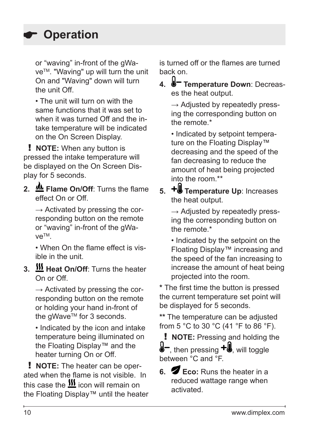or "waving" in-front of the gWave™. "Waving" up will turn the unit On and "Waving" down will turn the unit Off.

• The unit will turn on with the same functions that it was set to when it was turned Off and the intake temperature will be indicated on the On Screen Display.

! **NOTE:** When any button is pressed the intake temperature will be displayed on the On Screen Display for 5 seconds.

**2. We Flame On/Off:** Turns the flame effect On or Off.

→ Activated by pressing the corresponding button on the remote or "waving" in-front of the gWaveTM.

• When On the flame effect is visible in the unit.

**3. Heat On/Off**: Turns the heater On or Off.

**→** Activated by pressing the corresponding button on the remote or holding your hand in-front of the gWave<sup>™</sup> for 3 seconds.

• Indicated by the icon and intake temperature being illuminated on the Floating Display™ and the heater turning On or Off.

! **NOTE:** The heater can be operated when the flame is not visible. In this case the  $\frac{\text{III}}{\text{II}}$  icon will remain on the Floating Display™ until the heater is turned off or the flames are turned back on.

**4. Temperature Down**: Decreases the heat output.

→ Adiusted by repeatedly pressing the corresponding button on the remote.\*

• Indicated by setpoint temperature on the Floating Display™ decreasing and the speed of the fan decreasing to reduce the amount of heat being projected into the room.\*\*

**5.** + Temperature Up: Increases the heat output.

→ Adjusted by repeatedly pressing the corresponding button on the remote.\*

• Indicated by the setpoint on the Floating Display™ increasing and the speed of the fan increasing to increase the amount of heat being projected into the room.

**\*** The first time the button is pressed the current temperature set point will be displayed for 5 seconds.

**\*\*** The temperature can be adjusted from 5 °C to 30 °C (41 °F to 86 °F).

! **NOTE:** Pressing and holding the  $\mathbf{I}$ , then pressing  $\mathbf{+I}$ , will toggle between °C and °F.

**6. Eco:** Runs the heater in a reduced wattage range when activated.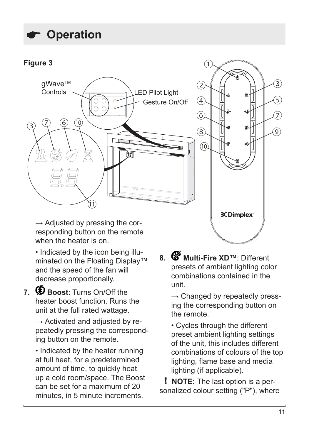

→ Adjusted by pressing the corresponding button on the remote when the heater is on.

• Indicated by the icon being illuminated on the Floating Display™ and the speed of the fan will decrease proportionally.

7. **D** Boost: Turns On/Off the heater boost function. Runs the unit at the full rated wattage.

> → Activated and adjusted by repeatedly pressing the corresponding button on the remote.

• Indicated by the heater running at full heat, for a predetermined amount of time, to quickly heat up a cold room/space. The Boost can be set for a maximum of 20 minutes, in 5 minute increments.

**8. Multi-Fire XD™**: Different presets of ambient lighting color combinations contained in the unit.

→ Changed by repeatedly pressing the corresponding button on the remote.

• Cycles through the different preset ambient lighting settings of the unit, this includes different combinations of colours of the top lighting, flame base and media lighting (if applicable).

! **NOTE:** The last option is a personalized colour setting ("P"), where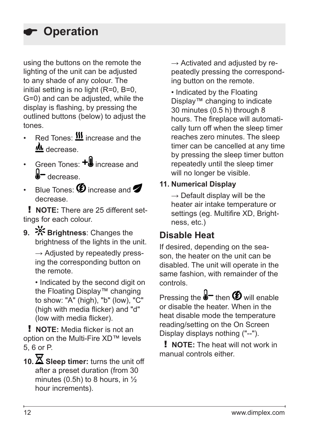using the buttons on the remote the lighting of the unit can be adjusted to any shade of any colour. The initial setting is no light (R=0, B=0, G=0) and can be adjusted, while the display is flashing, by pressing the outlined buttons (below) to adjust the tones.

- Red Tones:  $\frac{\text{III}}{\text{I}}$  increase and the decrease.
- Green Tones: **+ill** increase and d-<sub>decrease.</sub>
- Blue Tones:  $\bigcirc$  increase and  $\bigcirc$ decrease.

! **NOTE:** There are 25 different settings for each colour.

**9.**  $\frac{5}{5}$  **Brightness:** Changes the brightness of the lights in the unit.

→ Adjusted by repeatedly pressing the corresponding button on the remote.

• Indicated by the second digit on the Floating Display™ changing to show: "A" (high), "b" (low), "C" (high with media flicker) and "d" (low with media flicker).

! **NOTE:** Media flicker is not an option on the Multi-Fire XD™ levels 5, 6 or P.

10.  $\overline{\mathbf{X}}$  Sleep timer: turns the unit off after a preset duration (from 30 minutes (0.5h) to 8 hours, in  $\frac{1}{2}$ hour increments).

→ Activated and adiusted by repeatedly pressing the corresponding button on the remote.

• Indicated by the Floating Display™ changing to indicate 30 minutes (0.5 h) through 8 hours. The fireplace will automatically turn off when the sleep timer reaches zero minutes. The sleep timer can be cancelled at any time by pressing the sleep timer button repeatedly until the sleep timer will no longer be visible.

#### **11. Numerical Display**

**→** Default display will be the heater air intake temperature or settings (eg. Multifire XD, Brightness, etc.)

### **Disable Heat**

If desired, depending on the season, the heater on the unit can be disabled. The unit will operate in the same fashion, with remainder of the controls.

Pressing the  $\bigotimes$  then  $\bigotimes$  will enable or disable the heater. When in the heat disable mode the temperature reading/setting on the On Screen Display displays nothing ("--").

! **NOTE:** The heat will not work in manual controls either.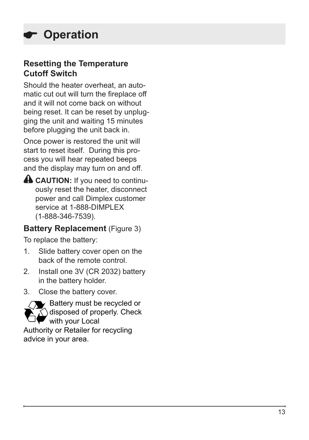### **Resetting the Temperature Cutoff Switch**

Should the heater overheat, an auto matic cut out will turn the fireplace off and it will not come back on without being reset. It can be reset by unplug ging the unit and waiting 15 minutes before plugging the unit back in.

Once power is restored the unit will start to reset itself. During this pro cess you will hear repeated beeps and the display may turn on and off.

**CAUTION:** If you need to continu ously reset the heater, disconnect power and call Dimplex customer service at 1-888-DIMPLEX (1-888-346-7539).

### **Battery Replacement** (Figure 3)

To replace the battery:

- 1. Slide battery cover open on the back of the remote control.
- 2. Install one 3V (CR 2032) battery in the battery holder.
- 3. Close the battery cover.



**AV** Battery must be recycled or  $\widehat{\Lambda}$  disposed of properly. Check with your Local

Authority or Retailer for recycling advice in your area.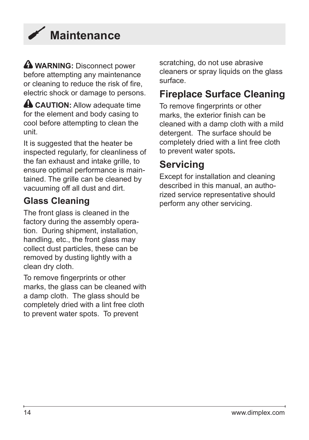<span id="page-13-0"></span>

**A** WARNING: Disconnect power before attempting any maintenance or cleaning to reduce the risk of fire, electric shock or damage to persons.

**A CAUTION:** Allow adequate time for the element and body casing to cool before attempting to clean the unit.

It is suggested that the heater be inspected regularly, for cleanliness of the fan exhaust and intake grille, to ensure optimal performance is maintained. The grille can be cleaned by vacuuming off all dust and dirt.

### **Glass Cleaning**

The front glass is cleaned in the factory during the assembly operation. During shipment, installation, handling, etc., the front glass may collect dust particles, these can be removed by dusting lightly with a clean dry cloth.

To remove fingerprints or other marks, the glass can be cleaned with a damp cloth. The glass should be completely dried with a lint free cloth to prevent water spots. To prevent

scratching, do not use abrasive cleaners or spray liquids on the glass surface.

### **Fireplace Surface Cleaning**

To remove fingerprints or other marks, the exterior finish can be cleaned with a damp cloth with a mild detergent. The surface should be completely dried with a lint free cloth to prevent water spots**.** 

## **Servicing**

Except for installation and cleaning described in this manual, an authorized service representative should perform any other servicing.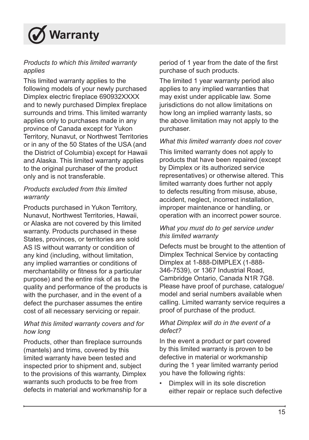<span id="page-14-0"></span>

#### *Products to which this limited warranty applies*

This limited warranty applies to the following models of your newly purchased Dimplex electric fireplace 690932XXXX and to newly purchased Dimplex fireplace surrounds and trims. This limited warranty applies only to purchases made in any province of Canada except for Yukon Territory, Nunavut, or Northwest Territories or in any of the 50 States of the USA (and the District of Columbia) except for Hawaii and Alaska. This limited warranty applies to the original purchaser of the product only and is not transferable.

#### *Products excluded from this limited warranty*

Products purchased in Yukon Territory, Nunavut, Northwest Territories, Hawaii, or Alaska are not covered by this limited warranty. Products purchased in these States, provinces, or territories are sold AS IS without warranty or condition of any kind (including, without limitation, any implied warranties or conditions of merchantability or fitness for a particular purpose) and the entire risk of as to the quality and performance of the products is with the purchaser, and in the event of a defect the purchaser assumes the entire cost of all necessary servicing or repair.

#### *What this limited warranty covers and for how long*

Products, other than fireplace surrounds (mantels) and trims, covered by this limited warranty have been tested and inspected prior to shipment and, subject to the provisions of this warranty, Dimplex warrants such products to be free from defects in material and workmanship for a period of 1 year from the date of the first purchase of such products.

The limited 1 year warranty period also applies to any implied warranties that may exist under applicable law. Some jurisdictions do not allow limitations on how long an implied warranty lasts, so the above limitation may not apply to the purchaser.

#### *What this limited warranty does not cover*

This limited warranty does not apply to products that have been repaired (except by Dimplex or its authorized service representatives) or otherwise altered. This limited warranty does further not apply to defects resulting from misuse, abuse, accident, neglect, incorrect installation, improper maintenance or handling, or operation with an incorrect power source.

#### *What you must do to get service under this limited warranty*

Defects must be brought to the attention of Dimplex Technical Service by contacting Dimplex at 1-888-DIMPLEX (1-888- 346-7539), or 1367 Industrial Road, Cambridge Ontario, Canada N1R 7G8. Please have proof of purchase, catalogue/ model and serial numbers available when calling. Limited warranty service requires a proof of purchase of the product.

#### *What Dimplex will do in the event of a defect?*

In the event a product or part covered by this limited warranty is proven to be defective in material or workmanship during the 1 year limited warranty period you have the following rights:

• Dimplex will in its sole discretion either repair or replace such defective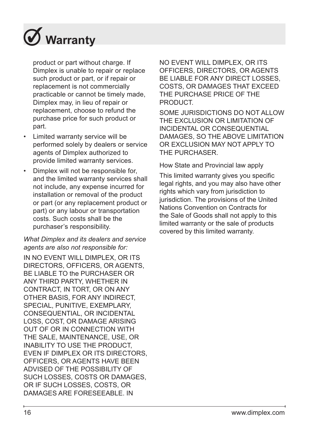

product or part without charge. If Dimplex is unable to repair or replace such product or part, or if repair or replacement is not commercially practicable or cannot be timely made, Dimplex may, in lieu of repair or replacement, choose to refund the purchase price for such product or part.

- Limited warranty service will be performed solely by dealers or service agents of Dimplex authorized to provide limited warranty services.
- Dimplex will not be responsible for, and the limited warranty services shall not include, any expense incurred for installation or removal of the product or part (or any replacement product or part) or any labour or transportation costs. Such costs shall be the purchaser's responsibility.

#### *What Dimplex and its dealers and service agents are also not responsible for:*

IN NO EVENT WILL DIMPLEX, OR ITS DIRECTORS, OFFICERS, OR AGENTS BE LIABLE TO the PURCHASER OR ANY THIRD PARTY, WHETHER IN CONTRACT, IN TORT, OR ON ANY OTHER BASIS, FOR ANY INDIRECT, SPECIAL, PUNITIVE, EXEMPLARY, CONSEQUENTIAL, OR INCIDENTAL LOSS, COST, OR DAMAGE ARISING OUT OF OR IN CONNECTION WITH THE SALE, MAINTENANCE, USE, OR INABILITY TO USE THE PRODUCT, EVEN IF DIMPLEX OR ITS DIRECTORS, OFFICERS, OR AGENTS HAVE BEEN ADVISED OF THE POSSIBILITY OF SUCH LOSSES, COSTS OR DAMAGES, OR IF SUCH LOSSES, COSTS, OR DAMAGES ARE FORESEEABLE. IN

NO EVENT WILL DIMPLEX, OR ITS OFFICERS, DIRECTORS, OR AGENTS BE LIABLE FOR ANY DIRECT LOSSES, COSTS, OR DAMAGES THAT EXCEED THE PURCHASE PRICE OF THE PRODUCT.

SOME JURISDICTIONS DO NOT ALLOW THE EXCLUSION OR LIMITATION OF INCIDENTAL OR CONSEQUENTIAL DAMAGES, SO THE ABOVE LIMITATION. OR EXCLUSION MAY NOT APPLY TO THE PURCHASER.

How State and Provincial law apply

This limited warranty gives you specific legal rights, and you may also have other rights which vary from jurisdiction to jurisdiction. The provisions of the United Nations Convention on Contracts for the Sale of Goods shall not apply to this limited warranty or the sale of products covered by this limited warranty.